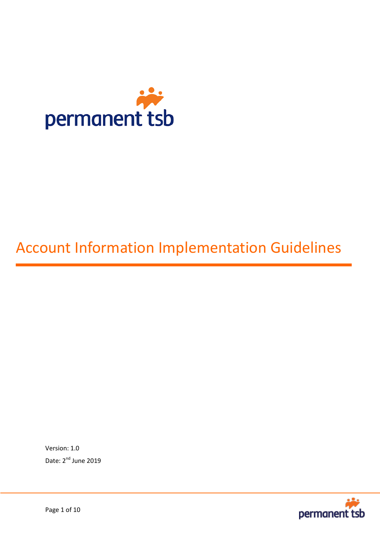

# Account Information Implementation Guidelines

Version: 1.0 Date: 2<sup>nd</sup> June 2019

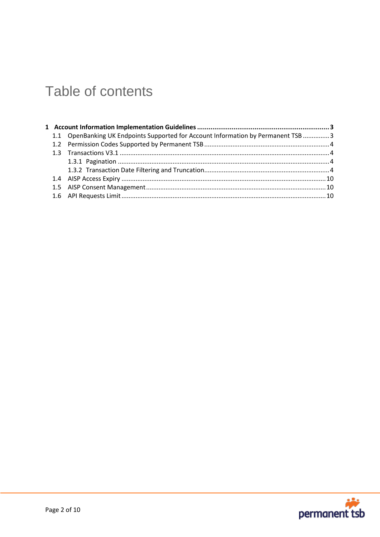## Table of contents

|  | 1.1 OpenBanking UK Endpoints Supported for Account Information by Permanent TSB  3 |  |  |
|--|------------------------------------------------------------------------------------|--|--|
|  |                                                                                    |  |  |
|  |                                                                                    |  |  |
|  |                                                                                    |  |  |
|  |                                                                                    |  |  |
|  |                                                                                    |  |  |
|  |                                                                                    |  |  |
|  |                                                                                    |  |  |

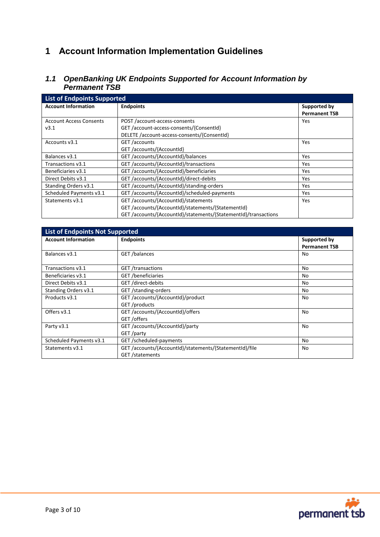## <span id="page-2-0"></span>**1 Account Information Implementation Guidelines**

## <span id="page-2-1"></span>*1.1 OpenBanking UK Endpoints Supported for Account Information by Permanent TSB*

| <b>List of Endpoints Supported</b> |                                                                |                      |  |  |
|------------------------------------|----------------------------------------------------------------|----------------------|--|--|
| <b>Account Information</b>         | <b>Endpoints</b>                                               | Supported by         |  |  |
|                                    |                                                                | <b>Permanent TSB</b> |  |  |
| <b>Account Access Consents</b>     | POST /account-access-consents                                  | <b>Yes</b>           |  |  |
| v3.1                               | GET/account-access-consents/{ConsentId}                        |                      |  |  |
|                                    | DELETE /account-access-consents/{ConsentId}                    |                      |  |  |
| Accounts v3.1                      | GET /accounts                                                  | Yes                  |  |  |
|                                    | GET /accounts/{AccountId}                                      |                      |  |  |
| Balances v3.1                      | GET /accounts/{AccountId}/balances                             | Yes                  |  |  |
| Transactions v3.1                  | GET /accounts/{AccountId}/transactions                         | <b>Yes</b>           |  |  |
| Beneficiaries v3.1                 | GET /accounts/{AccountId}/beneficiaries                        | <b>Yes</b>           |  |  |
| Direct Debits v3.1                 | GET /accounts/{AccountId}/direct-debits                        | Yes                  |  |  |
| Standing Orders v3.1               | GET/accounts/{Accountid}/standing-orders                       | Yes                  |  |  |
| Scheduled Payments v3.1            | GET/accounts/{AccountId}/scheduled-payments                    | <b>Yes</b>           |  |  |
| Statements v3.1                    | GET /accounts/{AccountId}/statements                           | Yes                  |  |  |
|                                    | GET/accounts/{AccountId}/statements/{StatementId}              |                      |  |  |
|                                    | GET/accounts/{AccountId}/statements/{StatementId}/transactions |                      |  |  |

| <b>List of Endpoints Not Supported</b> |                                                         |                      |  |
|----------------------------------------|---------------------------------------------------------|----------------------|--|
| <b>Account Information</b>             | <b>Endpoints</b>                                        | Supported by         |  |
|                                        |                                                         | <b>Permanent TSB</b> |  |
| Balances v3.1                          | GET /balances                                           | No                   |  |
| Transactions v3.1                      | <b>GET</b> /transactions                                | No                   |  |
| Beneficiaries v3.1                     | GET /beneficiaries                                      | No                   |  |
| Direct Debits v3.1                     | GET /direct-debits                                      | No                   |  |
| Standing Orders v3.1                   | GET /standing-orders                                    | No                   |  |
| Products v3.1                          | GET /accounts/{AccountId}/product                       | No                   |  |
|                                        | GET/products                                            |                      |  |
| Offers v3.1                            | GET /accounts/{AccountId}/offers                        | No                   |  |
|                                        | GET / offers                                            |                      |  |
| Party v3.1                             | GET /accounts/{AccountId}/party                         | No                   |  |
|                                        | GET/party                                               |                      |  |
| Scheduled Payments v3.1                | GET /scheduled-payments                                 | No                   |  |
| Statements v3.1                        | GET /accounts/{AccountId}/statements/{StatementId}/file | No                   |  |
|                                        | GET/statements                                          |                      |  |

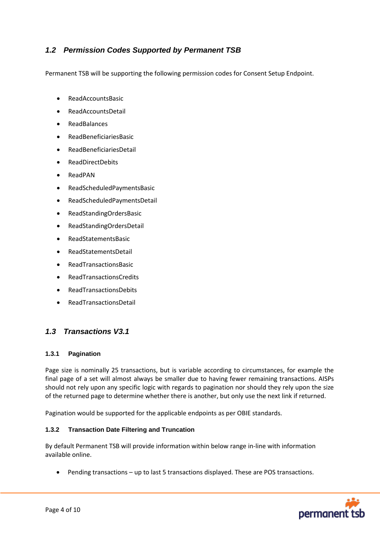## <span id="page-3-0"></span>*1.2 Permission Codes Supported by Permanent TSB*

Permanent TSB will be supporting the following permission codes for Consent Setup Endpoint.

- ReadAccountsBasic
- ReadAccountsDetail
- ReadBalances
- ReadBeneficiariesBasic
- ReadBeneficiariesDetail
- ReadDirectDebits
- ReadPAN
- ReadScheduledPaymentsBasic
- ReadScheduledPaymentsDetail
- ReadStandingOrdersBasic
- ReadStandingOrdersDetail
- ReadStatementsBasic
- ReadStatementsDetail
- ReadTransactionsBasic
- ReadTransactionsCredits
- ReadTransactionsDebits
- ReadTransactionsDetail

## <span id="page-3-1"></span>*1.3 Transactions V3.1*

#### <span id="page-3-2"></span>**1.3.1 Pagination**

Page size is nominally 25 transactions, but is variable according to circumstances, for example the final page of a set will almost always be smaller due to having fewer remaining transactions. AISPs should not rely upon any specific logic with regards to pagination nor should they rely upon the size of the returned page to determine whether there is another, but only use the next link if returned.

Pagination would be supported for the applicable endpoints as per OBIE standards.

#### <span id="page-3-3"></span>**1.3.2 Transaction Date Filtering and Truncation**

By default Permanent TSB will provide information within below range in-line with information available online.

Pending transactions – up to last 5 transactions displayed. These are POS transactions.

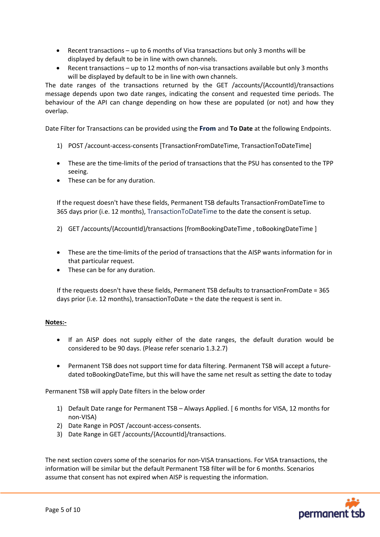- Recent transactions up to 6 months of Visa transactions but only 3 months will be displayed by default to be in line with own channels.
- Recent transactions up to 12 months of non-visa transactions available but only 3 months will be displayed by default to be in line with own channels.

The date ranges of the transactions returned by the GET /accounts/{AccountId}/transactions message depends upon two date ranges, indicating the consent and requested time periods. The behaviour of the API can change depending on how these are populated (or not) and how they overlap.

Date Filter for Transactions can be provided using the **From** and **To Date** at the following Endpoints.

- 1) POST /account-access-consents [TransactionFromDateTime, TransactionToDateTime]
- These are the time-limits of the period of transactions that the PSU has consented to the TPP seeing.
- These can be for any duration.

If the request doesn't have these fields, Permanent TSB defaults TransactionFromDateTime to 365 days prior (i.e. 12 months), TransactionToDateTime to the date the consent is setup.

- 2) GET /accounts/{AccountId}/transactions [fromBookingDateTime , toBookingDateTime ]
- These are the time-limits of the period of transactions that the AISP wants information for in that particular request.
- These can be for any duration.

If the requests doesn't have these fields, Permanent TSB defaults to transactionFromDate = 365 days prior (i.e. 12 months), transactionToDate = the date the request is sent in.

#### **Notes:-**

- If an AISP does not supply either of the date ranges, the default duration would be considered to be 90 days. (Please refer scenario 1.3.2.7)
- Permanent TSB does not support time for data filtering. Permanent TSB will accept a futuredated toBookingDateTime, but this will have the same net result as setting the date to today

Permanent TSB will apply Date filters in the below order

- 1) Default Date range for Permanent TSB Always Applied. [ 6 months for VISA, 12 months for non-VISA)
- 2) Date Range in POST /account-access-consents.
- 3) Date Range in GET /accounts/{AccountId}/transactions.

The next section covers some of the scenarios for non-VISA transactions. For VISA transactions, the information will be similar but the default Permanent TSB filter will be for 6 months. Scenarios assume that consent has not expired when AISP is requesting the information.

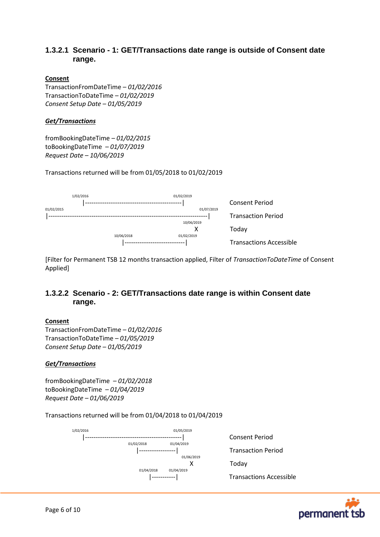## **1.3.2.1 Scenario - 1: GET/Transactions date range is outside of Consent date range.**

#### **Consent**

TransactionFromDateTime *– 01/02/2016* TransactionToDateTime *– 01/02/2019 Consent Setup Date – 01/05/2019*

#### *Get/Transactions*

fromBookingDateTime *– 01/02/2015* toBookingDateTime *– 01/07/2019 Request Date – 10/06/2019*

Transactions returned will be from 01/05/2018 to 01/02/2019

|            | 1/02/2016 |            | 01/02/2019 |                                |
|------------|-----------|------------|------------|--------------------------------|
|            |           |            |            | Consent Period                 |
| 01/02/2015 |           |            | 01/07/2019 |                                |
|            |           |            |            | <b>Transaction Period</b>      |
|            |           |            | 10/06/2019 |                                |
|            |           |            | x          | Today                          |
|            |           | 10/06/2018 | 01/02/2019 |                                |
|            |           |            |            | <b>Transactions Accessible</b> |

[Filter for Permanent TSB 12 months transaction applied, Filter of *TransactionToDateTime* of Consent Applied]

## **1.3.2.2 Scenario - 2: GET/Transactions date range is within Consent date range.**

#### **Consent**

TransactionFromDateTime *– 01/02/2016* TransactionToDateTime *– 01/05/2019 Consent Setup Date – 01/05/2019*

#### *Get/Transactions*

fromBookingDateTime *– 01/02/2018* toBookingDateTime *– 01/04/2019 Request Date – 01/06/2019*

Transactions returned will be from 01/04/2018 to 01/04/2019



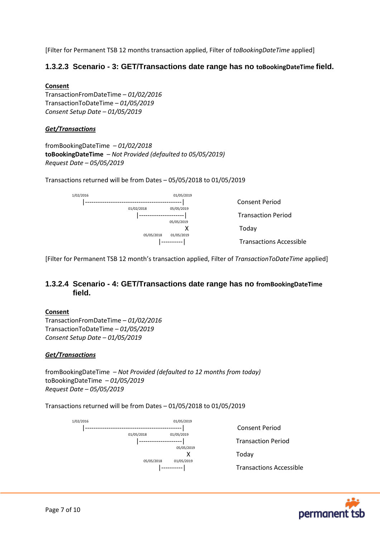[Filter for Permanent TSB 12 months transaction applied, Filter of *toBookingDateTime* applied]

## **1.3.2.3 Scenario - 3: GET/Transactions date range has no toBookingDateTime field.**

#### **Consent**

TransactionFromDateTime *– 01/02/2016* TransactionToDateTime *– 01/05/2019 Consent Setup Date – 01/05/2019*

#### *Get/Transactions*

fromBookingDateTime *– 01/02/2018* **toBookingDateTime** *– Not Provided (defaulted to 05/05/2019) Request Date – 05/05/2019*

Transactions returned will be from Dates – 05/05/2018 to 01/05/2019

| 1/02/2016 |            | 01/05/2019 |                                |
|-----------|------------|------------|--------------------------------|
|           |            |            | <b>Consent Period</b>          |
|           | 01/02/2018 | 05/05/2019 |                                |
|           |            |            | <b>Transaction Period</b>      |
|           |            | 05/05/2019 |                                |
|           |            | χ          | Today                          |
|           | 05/05/2018 | 01/05/2019 |                                |
|           |            |            | <b>Transactions Accessible</b> |

[Filter for Permanent TSB 12 month's transaction applied, Filter of *TransactionToDateTime* applied]

## **1.3.2.4 Scenario - 4: GET/Transactions date range has no fromBookingDateTime field.**

#### **Consent**

TransactionFromDateTime *– 01/02/2016* TransactionToDateTime *– 01/05/2019 Consent Setup Date – 01/05/2019*

#### *Get/Transactions*

fromBookingDateTime *– Not Provided (defaulted to 12 months from today)* toBookingDateTime *– 01/05/2019 Request Date – 05/05/2019*

Transactions returned will be from Dates – 01/05/2018 to 01/05/2019



|----------| Transactions Accessible

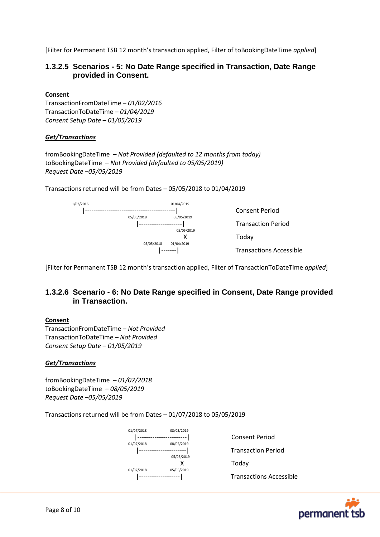[Filter for Permanent TSB 12 month's transaction applied, Filter of toBookingDateTime *applied*]

### **1.3.2.5 Scenarios - 5: No Date Range specified in Transaction, Date Range provided in Consent.**

#### **Consent**

TransactionFromDateTime *– 01/02/2016* TransactionToDateTime *– 01/04/2019 Consent Setup Date – 01/05/2019*

#### *Get/Transactions*

fromBookingDateTime *– Not Provided (defaulted to 12 months from today)* toBookingDateTime *– Not Provided (defaulted to 05/05/2019) Request Date –05/05/2019*

Transactions returned will be from Dates – 05/05/2018 to 01/04/2019



[Filter for Permanent TSB 12 month's transaction applied, Filter of TransactionToDateTime *applied*]

## **1.3.2.6 Scenario - 6: No Date Range specified in Consent, Date Range provided in Transaction.**

#### **Consent**

TransactionFromDateTime *– Not Provided* TransactionToDateTime *– Not Provided Consent Setup Date – 01/05/2019*

#### *Get/Transactions*

fromBookingDateTime *– 01/07/2018* toBookingDateTime *– 08/05/2019 Request Date –05/05/2019*

Transactions returned will be from Dates – 01/07/2018 to 05/05/2019



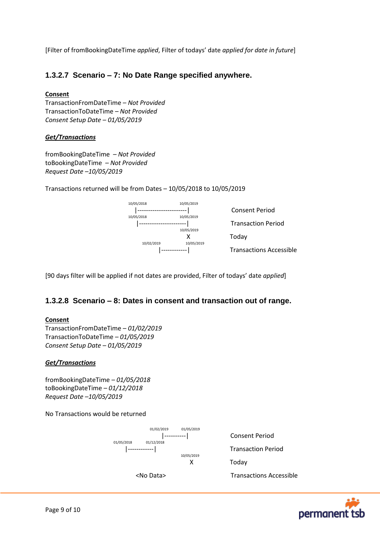[Filter of fromBookingDateTime *applied*, Filter of todays' date *applied for date in future*]

## **1.3.2.7 Scenario – 7: No Date Range specified anywhere.**

#### **Consent**

TransactionFromDateTime *– Not Provided* TransactionToDateTime *– Not Provided Consent Setup Date – 01/05/2019*

#### *Get/Transactions*

fromBookingDateTime *– Not Provided* toBookingDateTime *– Not Provided Request Date –10/05/2019*

Transactions returned will be from Dates – 10/05/2018 to 10/05/2019



[90 days filter will be applied if not dates are provided, Filter of todays' date *applied*]

## **1.3.2.8 Scenario – 8: Dates in consent and transaction out of range.**

#### **Consent**

TransactionFromDateTime *– 01/02/2019* TransactionToDateTime *– 01/05/2019 Consent Setup Date – 01/05/2019*

#### *Get/Transactions*

fromBookingDateTime *– 01/05/2018* toBookingDateTime *– 01/12/2018 Request Date –10/05/2019*

No Transactions would be returned